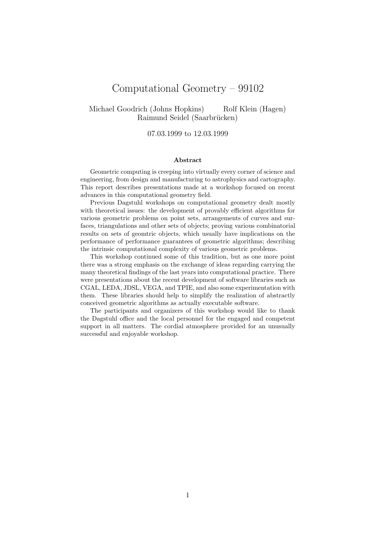# Computational Geometry – 99102

Michael Goodrich (Johns Hopkins) Rolf Klein (Hagen) Raimund Seidel (Saarbrücken)

07.03.1999 to 12.03.1999

#### Abstract

Geometric computing is creeping into virtually every corner of science and engineering, from design and manufacturing to astrophysics and cartography. This report describes presentations made at a workshop focused on recent advances in this computational geometry field.

Previous Dagstuhl workshops on computational geometry dealt mostly with theoretical issues: the development of provably efficient algorithms for various geometric problems on point sets, arrangements of curves and surfaces, triangulations and other sets of objects; proving various combinatorial results on sets of geomtric objects, which usually have implications on the performance of performance guarantees of geometric algorithms; describing the intrinsic computational complexity of various geometric problems.

This workshop continued some of this tradition, but as one more point there was a strong emphasis on the exchange of ideas regarding carrying the many theoretical findings of the last years into computational practice. There were presentations about the recent development of software libraries such as CGAL, LEDA, JDSL, VEGA, and TPIE, and also some experimentation with them. These libraries should help to simplify the realization of abstractly conceived geometric algorithms as actually executable software.

The participants and organizers of this workshop would like to thank the Dagstuhl office and the local personnel for the engaged and competent support in all matters. The cordial atmosphere provided for an unusually successful and enjoyable workshop.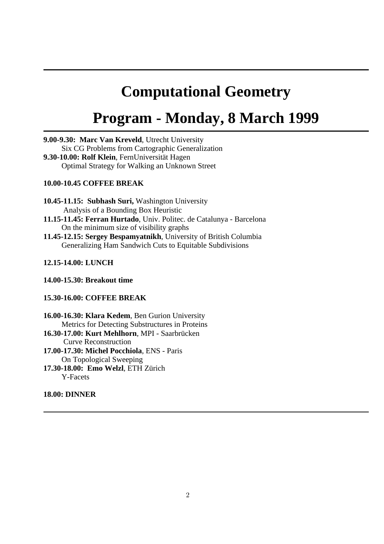# **Computational Geometry**

# **Program - Monday, 8 March 1999**

**9.00-9.30: Marc Van Kreveld**, Utrecht University Six CG Problems from Cartographic Generalization **9.30-10.00: Rolf Klein**, FernUniversität Hagen Optimal Strategy for Walking an Unknown Street

# **10.00-10.45 COFFEE BREAK**

**10.45-11.15: Subhash Suri,** Washington University Analysis of a Bounding Box Heuristic

- **11.15-11.45: Ferran Hurtado**, Univ. Politec. de Catalunya Barcelona On the minimum size of visibility graphs
- **11.45-12.15: Sergey Bespamyatnikh**, University of British Columbia Generalizing Ham Sandwich Cuts to Equitable Subdivisions

# **12.15-14.00: LUNCH**

**14.00-15.30: Breakout time**

# **15.30-16.00: COFFEE BREAK**

**16.00-16.30: Klara Kedem**, Ben Gurion University Metrics for Detecting Substructures in Proteins **16.30-17.00: Kurt Mehlhorn**, MPI - Saarbrücken

Curve Reconstruction

**17.00-17.30: Michel Pocchiola**, ENS - Paris On Topological Sweeping

**17.30-18.00: Emo Welzl**, ETH Zürich Y-Facets

# **18.00: DINNER**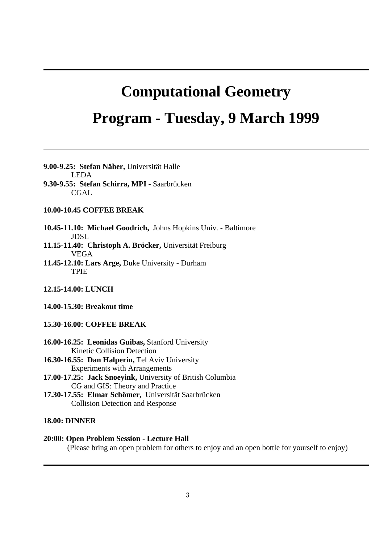# **Computational Geometry Program - Tuesday, 9 March 1999**

# **9.00-9.25: Stefan Näher,** Universität Halle

 LEDA **9.30-9.55: Stefan Schirra, MPI -** Saarbrücken CGAL.

# **10.00-10.45 COFFEE BREAK**

**10.45-11.10: Michael Goodrich,** Johns Hopkins Univ. - Baltimore JDSL

**11.15-11.40: Christoph A. Bröcker,** Universität Freiburg VEGA

**11.45-12.10: Lars Arge,** Duke University - Durham TPIE

# **12.15-14.00: LUNCH**

**14.00-15.30: Breakout time**

# **15.30-16.00: COFFEE BREAK**

**16.00-16.25: Leonidas Guibas,** Stanford University Kinetic Collision Detection

**16.30-16.55: Dan Halperin,** Tel Aviv University Experiments with Arrangements

- **17.00-17.25: Jack Snoeyink,** University of British Columbia CG and GIS: Theory and Practice
- **17.30-17.55: Elmar Schömer,** Universität Saarbrücken Collision Detection and Response

# **18.00: DINNER**

# **20:00: Open Problem Session - Lecture Hall**

(Please bring an open problem for others to enjoy and an open bottle for yourself to enjoy)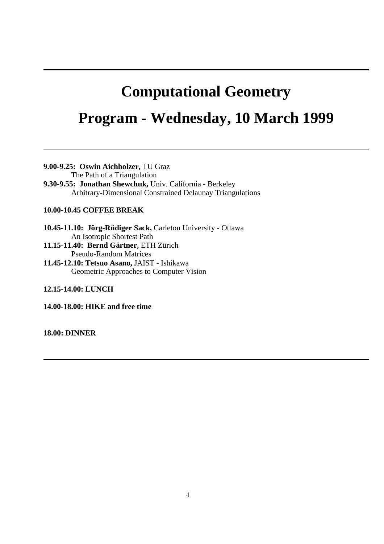# **Computational Geometry**

# **Program - Wednesday, 10 March 1999**

**9.00-9.25: Oswin Aichholzer,** TU Graz

The Path of a Triangulation

**9.30-9.55: Jonathan Shewchuk,** Univ. California - Berkeley Arbitrary-Dimensional Constrained Delaunay Triangulations

# **10.00-10.45 COFFEE BREAK**

**10.45-11.10: Jörg-Rüdiger Sack,** Carleton University - Ottawa An Isotropic Shortest Path

**11.15-11.40: Bernd Gärtner,** ETH Zürich Pseudo-Random Matrices

**11.45-12.10: Tetsuo Asano,** JAIST - Ishikawa Geometric Approaches to Computer Vision

**12.15-14.00: LUNCH**

**14.00-18.00: HIKE and free time**

**18.00: DINNER**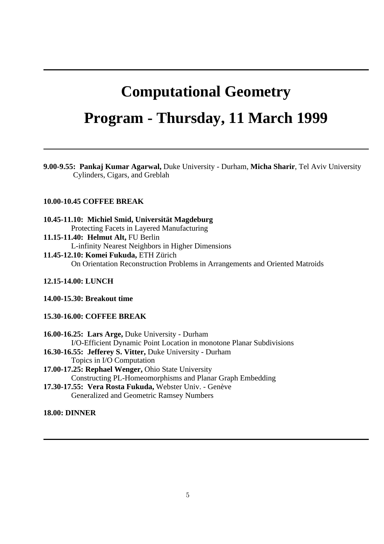# **Computational Geometry**

# **Program - Thursday, 11 March 1999**

**9.00-9.55: Pankaj Kumar Agarwal,** Duke University - Durham, **Micha Sharir**, Tel Aviv University Cylinders, Cigars, and Greblah

# **10.00-10.45 COFFEE BREAK**

**10.45-11.10: Michiel Smid, Universität Magdeburg** Protecting Facets in Layered Manufacturing **11.15-11.40: Helmut Alt,** FU Berlin

L-infinity Nearest Neighbors in Higher Dimensions

# **11.45-12.10: Komei Fukuda,** ETH Zürich

On Orientation Reconstruction Problems in Arrangements and Oriented Matroids

# **12.15-14.00: LUNCH**

**14.00-15.30: Breakout time**

# **15.30-16.00: COFFEE BREAK**

**16.00-16.25: Lars Arge,** Duke University - Durham I/O-Efficient Dynamic Point Location in monotone Planar Subdivisions **16.30-16.55: Jefferey S. Vitter,** Duke University - Durham Topics in I/O Computation **17.00-17.25: Rephael Wenger,** Ohio State University Constructing PL-Homeomorphisms and Planar Graph Embedding **17.30-17.55: Vera Rosta Fukuda,** Webster Univ. - Genève Generalized and Geometric Ramsey Numbers

# **18.00: DINNER**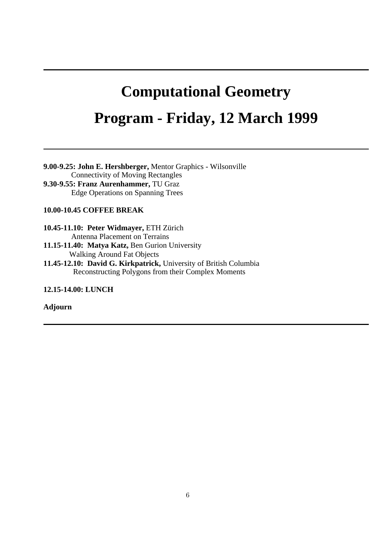# **Computational Geometry Program - Friday, 12 March 1999**

**9.00-9.25: John E. Hershberger,** Mentor Graphics - Wilsonville Connectivity of Moving Rectangles **9.30-9.55: Franz Aurenhammer,** TU Graz Edge Operations on Spanning Trees

# **10.00-10.45 COFFEE BREAK**

**10.45-11.10: Peter Widmayer,** ETH Zürich Antenna Placement on Terrains

**11.15-11.40: Matya Katz,** Ben Gurion University Walking Around Fat Objects

**11.45-12.10: David G. Kirkpatrick,** University of British Columbia Reconstructing Polygons from their Complex Moments

**12.15-14.00: LUNCH**

# **Adjourn**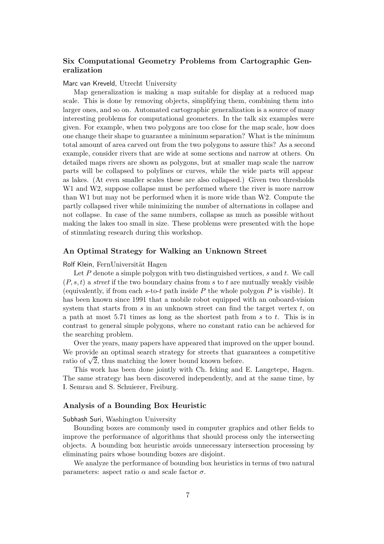# Six Computational Geometry Problems from Cartographic Generalization

# Marc van Kreveld, Utrecht University

Map generalization is making a map suitable for display at a reduced map scale. This is done by removing objects, simplifying them, combining them into larger ones, and so on. Automated cartographic generalization is a source of many interesting problems for computational geometers. In the talk six examples were given. For example, when two polygons are too close for the map scale, how does one change their shape to guarantee a minimum separation? What is the minimum total amount of area carved out from the two polygons to assure this? As a second example, consider rivers that are wide at some sections and narrow at others. On detailed maps rivers are shown as polygons, but at smaller map scale the narrow parts will be collapsed to polylines or curves, while the wide parts will appear as lakes. (At even smaller scales these are also collapsed.) Given two thresholds W<sub>1</sub> and W<sub>2</sub>, suppose collapse must be performed where the river is more narrow than W1 but may not be performed when it is more wide than W2. Compute the partly collapsed river while minimizing the number of alternations in collapse and not collapse. In case of the same numbers, collapse as much as possible without making the lakes too small in size. These problems were presented with the hope of stimulating research during this workshop.

# An Optimal Strategy for Walking an Unknown Street

# Rolf Klein, FernUniversität Hagen

Let  $P$  denote a simple polygon with two distinguished vertices,  $s$  and  $t$ . We call  $(P, s, t)$  a street if the two boundary chains from s to t are mutually weakly visible (equivalently, if from each s-to-t path inside  $P$  the whole polygon  $P$  is visible). It has been known since 1991 that a mobile robot equipped with an onboard-vision system that starts from  $s$  in an unknown street can find the target vertex  $t$ , on a path at most 5.71 times as long as the shortest path from s to t. This is in contrast to general simple polygons, where no constant ratio can be achieved for the searching problem.

Over the years, many papers have appeared that improved on the upper bound. We provide an optimal search strategy for streets that guarantees a competitive ratio of  $\sqrt{2}$ , thus matching the lower bound known before.

This work has been done jointly with Ch. Icking and E. Langetepe, Hagen. The same strategy has been discovered independently, and at the same time, by I. Semrau and S. Schuierer, Freiburg.

# Analysis of a Bounding Box Heuristic

Subhash Suri, Washington University

Bounding boxes are commonly used in computer graphics and other fields to improve the performance of algorithms that should process only the intersecting objects. A bounding box heuristic avoids unnecessary intersection processing by eliminating pairs whose bounding boxes are disjoint.

We analyze the performance of bounding box heuristics in terms of two natural parameters: aspect ratio  $\alpha$  and scale factor  $\sigma$ .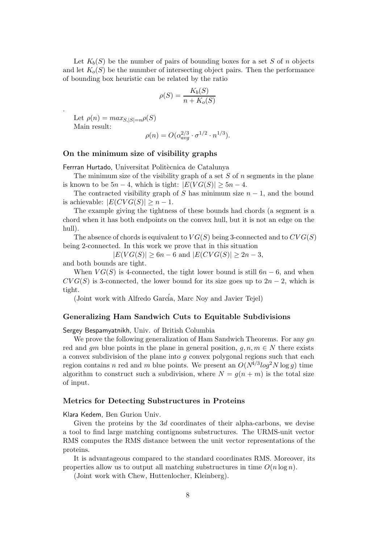Let  $K_b(S)$  be the number of pairs of bounding boxes for a set S of n objects and let  $K_o(S)$  be the nunmber of intersecting object pairs. Then the performance of bounding box heuristic can be related by the ratio

$$
\rho(S) = \frac{K_b(S)}{n + K_o(S)}
$$

Let  $\rho(n) = max_{S, |S| = n} \rho(S)$ Main result:

.

$$
\rho(n) = O(\alpha_{avg}^{2/3} \cdot \sigma^{1/2} \cdot n^{1/3}).
$$

#### On the minimum size of visibility graphs

Ferrran Hurtado, Universitat Politècnica de Catalunya

The minimum size of the visibility graph of a set  $S$  of  $n$  segments in the plane is known to be  $5n-4$ , which is tight:  $|E(VG(S)| \geq 5n-4$ .

The contracted visibility graph of S has minimum size  $n-1$ , and the bound is achievable:  $|E(CVG(S))| > n - 1$ .

The example giving the tightness of these bounds had chords (a segment is a chord when it has both endpoints on the convex hull, but it is not an edge on the hull).

The absence of chords is equivalent to  $VG(S)$  being 3-connected and to  $CVG(S)$ being 2-connected. In this work we prove that in this situation

 $|E(V G(S)| \geq 6n - 6$  and  $|E(C V G(S)| \geq 2n - 3$ ,

and both bounds are tight.

When  $VG(S)$  is 4-connected, the tight lower bound is still  $6n - 6$ , and when  $CVG(S)$  is 3-connected, the lower bound for its size goes up to  $2n-2$ , which is tight.

(Joint work with Alfredo García, Marc Noy and Javier Tejel)

#### Generalizing Ham Sandwich Cuts to Equitable Subdivisions

Sergey Bespamyatnikh, Univ. of British Columbia

We prove the following generalization of Ham Sandwich Theorems. For any  $gn$ red and gm blue points in the plane in general position,  $g, n, m \in N$  there exists a convex subdivision of the plane into  $g$  convex polygonal regions such that each region contains n red and m blue points. We present an  $O(N^{4/3}log^2 N log g)$  time algorithm to construct such a subdivision, where  $N = g(n+m)$  is the total size of input.

# Metrics for Detecting Substructures in Proteins

Klara Kedem, Ben Gurion Univ.

Given the proteins by the  $3d$  coordinates of their alpha-carbons, we devise a tool to find large matching contignoms substructures. The URMS-unit vector RMS computes the RMS distance between the unit vector representations of the proteins.

It is advantageous compared to the standard coordinates RMS. Moreover, its properties allow us to output all matching substructures in time  $O(n \log n)$ .

(Joint work with Chew, Huttenlocher, Kleinberg).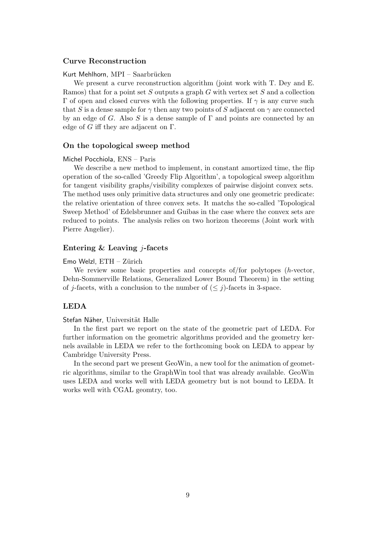# Curve Reconstruction

# Kurt Mehlhorn, MPI – Saarbrücken

We present a curve reconstruction algorithm (joint work with T. Dey and E. Ramos) that for a point set S outputs a graph G with vertex set S and a collection Γ of open and closed curves with the following properties. If  $\gamma$  is any curve such that S is a dense sample for  $\gamma$  then any two points of S adjacent on  $\gamma$  are connected by an edge of G. Also S is a dense sample of  $\Gamma$  and points are connected by an edge of G iff they are adjacent on  $\Gamma$ .

#### On the topological sweep method

## Michel Pocchiola, ENS – Paris

We describe a new method to implement, in constant amortized time, the flip operation of the so-called 'Greedy Flip Algorithm', a topological sweep algorithm for tangent visibility graphs/visibility complexes of pairwise disjoint convex sets. The method uses only primitive data structures and only one geometric predicate: the relative orientation of three convex sets. It matchs the so-called 'Topological Sweep Method' of Edelsbrunner and Guibas in the case where the convex sets are reduced to points. The analysis relies on two horizon theorems (Joint work with Pierre Angelier).

# Entering  $&$  Leaving  $i$ -facets

## $E$ mo Welzl,  $ETH - Zi$ irich

We review some basic properties and concepts of for polytopes (h-vector, Dehn-Sommerville Relations, Generalized Lower Bound Theorem) in the setting of j-facets, with a conclusion to the number of  $(\leq j)$ -facets in 3-space.

# LEDA

#### Stefan Näher, Universität Halle

In the first part we report on the state of the geometric part of LEDA. For further information on the geometric algorithms provided and the geometry kernels available in LEDA we refer to the forthcoming book on LEDA to appear by Cambridge University Press.

In the second part we present GeoWin, a new tool for the animation of geometric algorithms, similar to the GraphWin tool that was already available. GeoWin uses LEDA and works well with LEDA geometry but is not bound to LEDA. It works well with CGAL geomtry, too.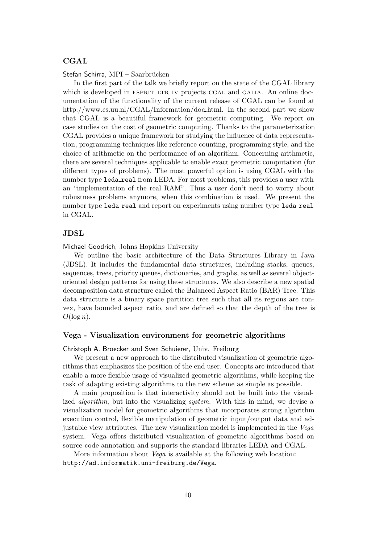# **CGAL**

Stefan Schirra, MPI – Saarbrücken

In the first part of the talk we briefly report on the state of the CGAL library which is developed in ESPRIT LTR IV projects CGAL and GALIA. An online documentation of the functionality of the current release of CGAL can be found at http://www.cs.uu.nl/CGAL/Information/doc html. In the second part we show that CGAL is a beautiful framework for geometric computing. We report on case studies on the cost of geometric computing. Thanks to the parameterization CGAL provides a unique framework for studying the influence of data representation, programming techniques like reference counting, programming style, and the choice of arithmetic on the performance of an algorithm. Concerning arithmetic, there are several techniques applicable to enable exact geometric computation (for different types of problems). The most powerful option is using CGAL with the number type leda real from LEDA. For most problems, this provides a user with an "implementation of the real RAM". Thus a user don't need to worry about robustness problems anymore, when this combination is used. We present the number type leda\_real and report on experiments using number type leda\_real in CGAL.

# JDSL

Michael Goodrich, Johns Hopkins University

We outline the basic architecture of the Data Structures Library in Java (JDSL). It includes the fundamental data structures, including stacks, queues, sequences, trees, priority queues, dictionaries, and graphs, as well as several objectoriented design patterns for using these structures. We also describe a new spatial decomposition data structure called the Balanced Aspect Ratio (BAR) Tree. This data structure is a binary space partition tree such that all its regions are convex, have bounded aspect ratio, and are defined so that the depth of the tree is  $O(\log n)$ .

# Vega - Visualization environment for geometric algorithms

## Christoph A. Broecker and Sven Schuierer, Univ. Freiburg

We present a new approach to the distributed visualization of geometric algorithms that emphasizes the position of the end user. Concepts are introduced that enable a more flexible usage of visualized geometric algorithms, while keeping the task of adapting existing algorithms to the new scheme as simple as possible.

A main proposition is that interactivity should not be built into the visualized *algorithm*, but into the visualizing *system*. With this in mind, we devise a visualization model for geometric algorithms that incorporates strong algorithm execution control, flexible manipulation of geometric input/output data and adjustable view attributes. The new visualization model is implemented in the Vega system. Vega offers distributed visualization of geometric algorithms based on source code annotation and supports the standard libraries LEDA and CGAL.

More information about Vega is available at the following web location: http://ad.informatik.uni-freiburg.de/Vega.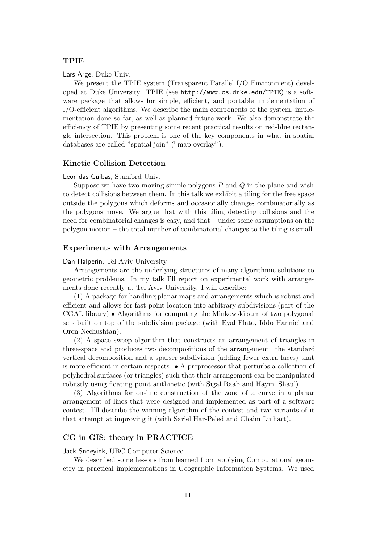# TPIE

Lars Arge, Duke Univ.

We present the TPIE system (Transparent Parallel I/O Environment) developed at Duke University. TPIE (see http://www.cs.duke.edu/TPIE) is a software package that allows for simple, efficient, and portable implementation of I/O-efficient algorithms. We describe the main components of the system, implementation done so far, as well as planned future work. We also demonstrate the efficiency of TPIE by presenting some recent practical results on red-blue rectangle intersection. This problem is one of the key components in what in spatial databases are called "spatial join" ("map-overlay").

# Kinetic Collision Detection

#### Leonidas Guibas, Stanford Univ.

Suppose we have two moving simple polygons  $P$  and  $Q$  in the plane and wish to detect collisions between them. In this talk we exhibit a tiling for the free space outside the polygons which deforms and occasionally changes combinatorially as the polygons move. We argue that with this tiling detecting collisions and the need for combinatorial changes is easy, and that – under some assumptions on the polygon motion – the total number of combinatorial changes to the tiling is small.

#### Experiments with Arrangements

## Dan Halperin, Tel Aviv University

Arrangements are the underlying structures of many algorithmic solutions to geometric problems. In my talk I'll report on experimental work with arrangements done recently at Tel Aviv University. I will describe:

(1) A package for handling planar maps and arrangements which is robust and efficient and allows for fast point location into arbitrary subdivisions (part of the CGAL library) • Algorithms for computing the Minkowski sum of two polygonal sets built on top of the subdivision package (with Eyal Flato, Iddo Hanniel and Oren Nechushtan).

(2) A space sweep algorithm that constructs an arrangement of triangles in three-space and produces two decompositions of the arrangement: the standard vertical decomposition and a sparser subdivision (adding fewer extra faces) that is more efficient in certain respects. • A preprocessor that perturbs a collection of polyhedral surfaces (or triangles) such that their arrangement can be manipulated robustly using floating point arithmetic (with Sigal Raab and Hayim Shaul).

(3) Algorithms for on-line construction of the zone of a curve in a planar arrangement of lines that were designed and implemented as part of a software contest. I'll describe the winning algorithm of the contest and two variants of it that attempt at improving it (with Sariel Har-Peled and Chaim Linhart).

# CG in GIS: theory in PRACTICE

Jack Snoeyink, UBC Computer Science

We described some lessons from learned from applying Computational geometry in practical implementations in Geographic Information Systems. We used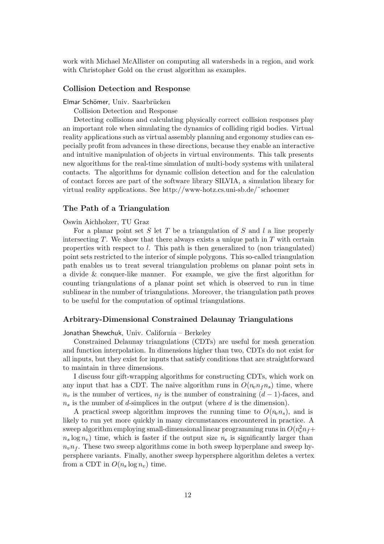work with Michael McAllister on computing all watersheds in a region, and work with Christopher Gold on the crust algorithm as examples.

# Collision Detection and Response

#### Elmar Schömer, Univ. Saarbrücken

Collision Detection and Response

Detecting collisions and calculating physically correct collision responses play an important role when simulating the dynamics of colliding rigid bodies. Virtual reality applications such as virtual assembly planning and ergonomy studies can especially profit from advances in these directions, because they enable an interactive and intuitive manipulation of objects in virtual environments. This talk presents new algorithms for the real-time simulation of multi-body systems with unilateral contacts. The algorithms for dynamic collision detection and for the calculation of contact forces are part of the software library SILVIA, a simulation library for virtual reality applications. See http://www-hotz.cs.uni-sb.de/˜schoemer

# The Path of a Triangulation

### Oswin Aichholzer, TU Graz

For a planar point set  $S$  let  $T$  be a triangulation of  $S$  and  $l$  a line properly intersecting  $T$ . We show that there always exists a unique path in  $T$  with certain properties with respect to  $l$ . This path is then generalized to (non triangulated) point sets restricted to the interior of simple polygons. This so-called triangulation path enables us to treat several triangulation problems on planar point sets in a divide & conquer-like manner. For example, we give the first algorithm for counting triangulations of a planar point set which is observed to run in time sublinear in the number of triangulations. Moreover, the triangulation path proves to be useful for the computation of optimal triangulations.

# Arbitrary-Dimensional Constrained Delaunay Triangulations

Jonathan Shewchuk, Univ. California – Berkeley

Constrained Delaunay triangulations (CDTs) are useful for mesh generation and function interpolation. In dimensions higher than two, CDTs do not exist for all inputs, but they exist for inputs that satisfy conditions that are straightforward to maintain in three dimensions.

I discuss four gift-wrapping algorithms for constructing CDTs, which work on any input that has a CDT. The naive algorithm runs in  $O(n_n n_f n_s)$  time, where  $n<sub>v</sub>$  is the number of vertices,  $n<sub>f</sub>$  is the number of constraining  $(d-1)$ -faces, and  $n<sub>s</sub>$  is the number of d-simplices in the output (where d is the dimension).

A practical sweep algorithm improves the running time to  $O(n_v n_s)$ , and is likely to run yet more quickly in many circumstances encountered in practice. A sweep algorithm employing small-dimensional linear programming runs in  $O(n_v^2 n_f + )$  $n_s \log n_v$ ) time, which is faster if the output size  $n_s$  is significantly larger than  $n_v n_t$ . These two sweep algorithms come in both sweep hyperplane and sweep hypersphere variants. Finally, another sweep hypersphere algorithm deletes a vertex from a CDT in  $O(n_s \log n_v)$  time.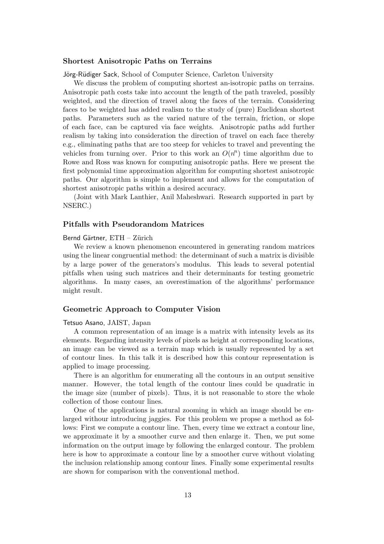# Shortest Anisotropic Paths on Terrains

Jörg-Rüdiger Sack, School of Computer Science, Carleton University

We discuss the problem of computing shortest an-isotropic paths on terrains. Anisotropic path costs take into account the length of the path traveled, possibly weighted, and the direction of travel along the faces of the terrain. Considering faces to be weighted has added realism to the study of (pure) Euclidean shortest paths. Parameters such as the varied nature of the terrain, friction, or slope of each face, can be captured via face weights. Anisotropic paths add further realism by taking into consideration the direction of travel on each face thereby e.g., eliminating paths that are too steep for vehicles to travel and preventing the vehicles from turning over. Prior to this work an  $O(n^n)$  time algorithm due to Rowe and Ross was known for computing anisotropic paths. Here we present the first polynomial time approximation algorithm for computing shortest anisotropic paths. Our algorithm is simple to implement and allows for the computation of shortest anisotropic paths within a desired accuracy.

(Joint with Mark Lanthier, Anil Maheshwari. Research supported in part by NSERC.)

# Pitfalls with Pseudorandom Matrices

# Bernd Gärtner, ETH - Zürich

We review a known phenomenon encountered in generating random matrices using the linear congruential method: the determinant of such a matrix is divisible by a large power of the generators's modulus. This leads to several potential pitfalls when using such matrices and their determinants for testing geometric algorithms. In many cases, an overestimation of the algorithms' performance might result.

# Geometric Approach to Computer Vision

# Tetsuo Asano, JAIST, Japan

A common representation of an image is a matrix with intensity levels as its elements. Regarding intensity levels of pixels as height at corresponding locations, an image can be viewed as a terrain map which is usually represented by a set of contour lines. In this talk it is described how this contour representation is applied to image processing.

There is an algorithm for enumerating all the contours in an output sensitive manner. However, the total length of the contour lines could be quadratic in the image size (number of pixels). Thus, it is not reasonable to store the whole collection of those contour lines.

One of the applications is natural zooming in which an image should be enlarged withour introducing jaggies. For this problem we propse a method as follows: First we compute a contour line. Then, every time we extract a contour line, we approximate it by a smoother curve and then enlarge it. Then, we put some information on the output image by following the enlarged contour. The problem here is how to approximate a contour line by a smoother curve without violating the inclusion relationship among contour lines. Finally some experimental results are shown for comparison with the conventional method.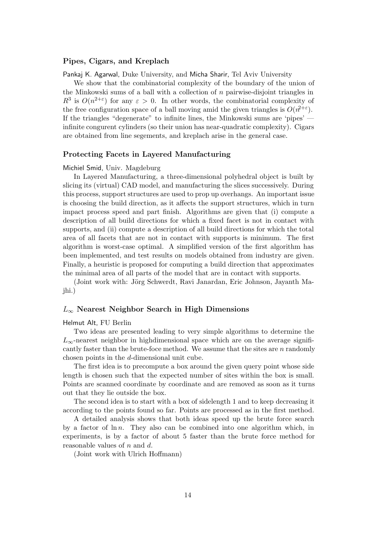# Pipes, Cigars, and Kreplach

Pankaj K. Agarwal, Duke University, and Micha Sharir, Tel Aviv University

We show that the combinatorial complexity of the boundary of the union of the Minkowski sums of a ball with a collection of  $n$  pairwise-disjoint triangles in  $R^3$  is  $O(n^{2+\epsilon})$  for any  $\epsilon > 0$ . In other words, the combinatorial complexity of the free configuration space of a ball moving amid the given triangles is  $O(n^{2+\epsilon})$ . If the triangles "degenerate" to infinite lines, the Minkowski sums are 'pipes' infinite congurent cylinders (so their union has near-quadratic complexity). Cigars are obtained from line segements, and kreplach arise in the general case.

# Protecting Facets in Layered Manufacturing

#### Michiel Smid, Univ. Magdeburg

In Layered Manufacturing, a three-dimensional polyhedral object is built by slicing its (virtual) CAD model, and manufacturing the slices successively. During this process, support structures are used to prop up overhangs. An important issue is choosing the build direction, as it affects the support structures, which in turn impact process speed and part finish. Algorithms are given that (i) compute a description of all build directions for which a fixed facet is not in contact with supports, and (ii) compute a description of all build directions for which the total area of all facets that are not in contact with supports is minimum. The first algorithm is worst-case optimal. A simplified version of the first algorithm has been implemented, and test results on models obtained from industry are given. Finally, a heuristic is proposed for computing a build direction that approximates the minimal area of all parts of the model that are in contact with supports.

(Joint work with: Jörg Schwerdt, Ravi Janardan, Eric Johnson, Jayanth Majhi.)

# $L_{\infty}$  Nearest Neighbor Search in High Dimensions

# Helmut Alt, FU Berlin

Two ideas are presented leading to very simple algorithms to determine the  $L_{\infty}$ -nearest neighbor in highdimensional space which are on the average significantly faster than the brute-foce method. We assume that the sites are  $n$  randomly chosen points in the d-dimensional unit cube.

The first idea is to precompute a box around the given query point whose side length is chosen such that the expected number of sites within the box is small. Points are scanned coordinate by coordinate and are removed as soon as it turns out that they lie outside the box.

The second idea is to start with a box of sidelength 1 and to keep decreasing it according to the points found so far. Points are processed as in the first method.

A detailed analysis shows that both ideas speed up the brute force search by a factor of  $\ln n$ . They also can be combined into one algorithm which, in experiments, is by a factor of about 5 faster than the brute force method for reasonable values of  $n$  and  $d$ .

(Joint work with Ulrich Hoffmann)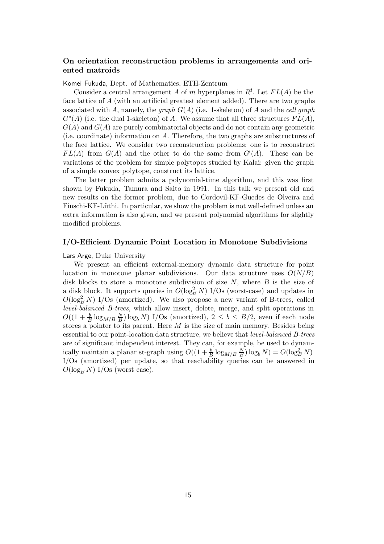# On orientation reconstruction problems in arrangements and oriented matroids

#### Komei Fukuda, Dept. of Mathematics, ETH-Zentrum

Consider a central arrangement A of m hyperplanes in  $R^d$ . Let  $FL(A)$  be the face lattice of A (with an artificial greatest element added). There are two graphs associated with A, namely, the graph  $G(A)$  (i.e. 1-skeleton) of A and the cell graph  $G^*(A)$  (i.e. the dual 1-skeleton) of A. We assume that all three structures  $FL(A)$ ,  $G(A)$  and  $G(A)$  are purely combinatorial objects and do not contain any geometric (i.e. coordinate) information on A. Therefore, the two graphs are substructures of the face lattice. We consider two reconstruction problems: one is to reconstruct  $FL(A)$  from  $G(A)$  and the other to do the same from  $G<sup>*</sup>(A)$ . These can be variations of the problem for simple polytopes studied by Kalai: given the graph of a simple convex polytope, construct its lattice.

The latter problem admits a polynomial-time algorithm, and this was first shown by Fukuda, Tamura and Saito in 1991. In this talk we present old and new results on the former problem, due to Cordovil-KF-Guedes de Olveira and Finschi-KF-Lüthi. In particular, we show the problem is not well-defined unless an extra information is also given, and we present polynomial algorithms for slightly modified problems.

#### I/O-Efficient Dynamic Point Location in Monotone Subdivisions

### Lars Arge, Duke University

We present an efficient external-memory dynamic data structure for point location in monotone planar subdivisions. Our data structure uses  $O(N/B)$ disk blocks to store a monotone subdivision of size  $N$ , where  $B$  is the size of a disk block. It supports queries in  $O(\log_B^2 N)$  I/Os (worst-case) and updates in  $O(\log_B^2 N)$  I/Os (amortized). We also propose a new variant of B-trees, called level-balanced B-trees, which allow insert, delete, merge, and split operations in  $O((1+\frac{b}{B}\log_{M/B}\frac{N}{B}))$  $\frac{N}{B}$ ) log<sub>b</sub> N) I/Os (amortized),  $2 \le b \le B/2$ , even if each node stores a pointer to its parent. Here  $M$  is the size of main memory. Besides being essential to our point-location data structure, we believe that *level-balanced B-trees* are of significant independent interest. They can, for example, be used to dynamically maintain a planar st-graph using  $O((1 + \frac{b}{B} \log_{M/B} \frac{N}{B}))$  $\frac{N}{B}$ )  $\log_b N$ ) =  $O(\log_B^2 N)$ I/Os (amortized) per update, so that reachability queries can be answered in  $O(\log_B N)$  I/Os (worst case).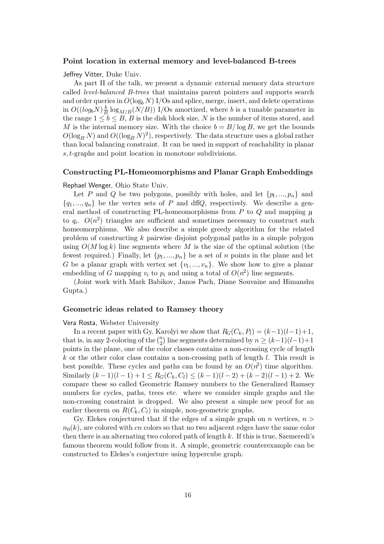## Point location in external memory and level-balanced B-trees

Jeffrey Vitter, Duke Univ.

As part II of the talk, we present a dynamic external memory data structure called level-balanced B-trees that maintains parent pointers and supports search and order queries in  $O(log_b N) I/Os$  and splice, merge, insert, and delete operations in  $O((log_b N) \frac{b}{B})$  $\frac{b}{B}$ log<sub>*M*/*B*</sub>(*N*/*B*)) I/Os amortized, where *b* is a tunable parameter in the range  $1 \leq b \leq B$ , B is the disk block size, N is the number of items stored, and M is the internal memory size. With the choice  $b = B/\log B$ , we get the bounds  $O(\log_B N)$  and  $O((\log_B N)^2)$ , respectively. The data structure uses a global rather than local balancing constraint. It can be used in support of reachability in planar s, t-graphs and point location in monotone subdivisions.

#### Constructing PL-Homeomorphisms and Planar Graph Embeddings

#### Rephael Wenger, Ohio State Univ.

Let P and Q be two polygons, possibly with holes, and let  $\{p_1, ..., p_n\}$  and  ${q_1, ..., q_n}$  be the vertex sets of P and dffQ, respectively. We describe a general method of constructing PL-homeomorphisms from  $P$  to  $Q$  and mapping  $p$ to  $q_i$ .  $O(n^2)$  triangles are sufficient and sometimes necessary to construct such homeomorphisms. We also describe a simple greedy algorithm for the related problem of constructing k pairwise disjoint polygonal paths in a simple polygon using  $O(M \log k)$  line segments where M is the size of the optimal solution (the fewest required.) Finally, let  $\{p_1, ..., p_n\}$  be a set of n points in the plane and let G be a planar graph with vertex set  $\{v_1, ..., v_n\}$ . We show how to give a planar embedding of G mapping  $v_i$  to  $p_i$  and using a total of  $O(n^2)$  line segments.

(Joint work with Mark Babikov, Janos Pach, Diane Souvaine and Himanshu Gupta.)

# Geometric ideas related to Ramsey theory

#### Vera Rosta, Webster University

In a recent paper with Gy. Karolyi we show that  $R_G(C_k, P_l) = (k-1)(l-1)+1$ , that is, in any 2-coloring of the  $\binom{n}{2}$  line segments determined by  $n \ge (k-1)(l-1)+1$ points in the plane, one of the color classes contains a non-crossing cycle of length  $k$  or the other color class contains a non-crossing path of length  $l$ . This result is best possible. These cycles and paths can be found by an  $O(n^3)$  time algorithm. Similarly  $(k-1)(l-1)+1 \leq R_G(C_k, C_l) \leq (k-1)(l-2)+(k-2)(l-1)+2$ . We compare these so called Geometric Ramsey numbers to the Generalized Ramsey numbers for cycles, paths, trees etc. where we consider simple graphs and the non-crossing constraint is dropped. We also present a simple new proof for an earlier theorem on  $R(C_k, C_l)$  in simple, non-geometric graphs.

Gy. Elekes conjectured that if the edges of a simple graph on n vertices,  $n >$  $n_0(k)$ , are colored with cn colors so that no two adjacent edges have the same color then there is an alternating two colored path of length  $k$ . If this is true, Szemeredi's famous theorem would follow from it. A simple, geometric counterexample can be constructed to Elekes's conjecture using hypercube graph.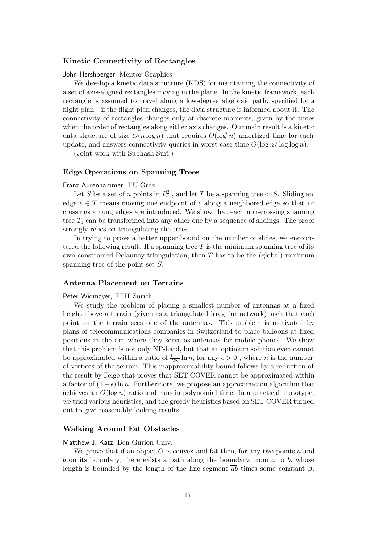# Kinetic Connectivity of Rectangles

# John Hershberger, Mentor Graphics

We develop a kinetic data structure (KDS) for maintaining the connectivity of a set of axis-aligned rectangles moving in the plane. In the kinetic framework, each rectangle is assumed to travel along a low-degree algebraic path, specified by a flight plan—if the flight plan changes, the data structure is informed about it. The connectivity of rectangles changes only at discrete moments, given by the times when the order of rectangles along either axis changes. Our main result is a kinetic data structure of size  $O(n \log n)$  that requires  $O(\log^2 n)$  amortized time for each update, and answers connectivity queries in worst-case time  $O(\log n / \log \log n)$ .

(Joint work with Subhash Suri.)

#### Edge Operations on Spanning Trees

#### Franz Aurenhammer, TU Graz

Let S be a set of n points in  $R^2$ , and let T be a spanning tree of S. Sliding an edge  $e \in T$  means moving one endpoint of e along a neighbored edge so that no crossings among edges are introduced. We show that each non-crossing spanning tree  $T_1$  can be transformed into any other one by a sequence of slidings. The proof strongly relies on triangulating the trees.

In trying to prove a better upper bound on the number of slides, we encountered the following result. If a spanning tree  $T$  is the minimum spanning tree of its own constrained Delaunay triangulation, then  $T$  has to be the (global) minimum spanning tree of the point set S.

# Antenna Placement on Terrains

#### Peter Widmayer, ETH Zürich

We study the problem of placing a smallest number of antennas at a fixed height above a terrain (given as a triangulated irregular network) such that each point on the terrain sees one of the antennas. This problem is motivated by plans of telecommunications companies in Switzerland to place balloons at fixed positions in the air, where they serve as antennas for mobile phones. We show that this problem is not only NP-hard, but that an optimum solution even cannot be approximated within a ratio of  $\frac{1-\epsilon}{28} \ln n$ , for any  $\epsilon > 0$ , where n is the number of vertices of the terrain. This inapproximability bound follows by a reduction of the result by Feige that proves that SET COVER cannot be approximated within a factor of  $(1 - \epsilon) \ln n$ . Furthermore, we propose an approximation algorithm that achieves an  $O(\log n)$  ratio and runs in polynomial time. In a practical prototype, we tried various heuristics, and the greedy heuristics based on SET COVER turned out to give reasonably looking results.

#### Walking Around Fat Obstacles

#### Matthew J. Katz, Ben Gurion Univ.

We prove that if an object  $O$  is convex and fat then, for any two points a and b on its boundary, there exists a path along the boundary, from  $a$  to  $b$ , whose length is bounded by the length of the line segment  $\overline{ab}$  times some constant  $\beta$ .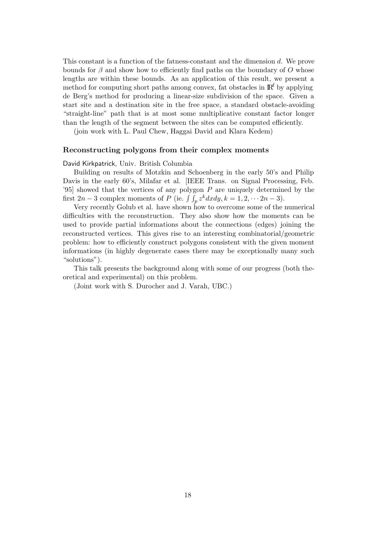This constant is a function of the fatness-constant and the dimension d. We prove bounds for  $\beta$  and show how to efficiently find paths on the boundary of O whose lengths are within these bounds. As an application of this result, we present a method for computing short paths among convex, fat obstacles in  $\mathbb{R}^d$  by applying de Berg's method for producing a linear-size subdivision of the space. Given a start site and a destination site in the free space, a standard obstacle-avoiding "straight-line" path that is at most some multiplicative constant factor longer than the length of the segment between the sites can be computed efficiently.

(join work with L. Paul Chew, Haggai David and Klara Kedem)

# Reconstructing polygons from their complex moments

#### David Kirkpatrick, Univ. British Columbia

Building on results of Motzkin and Schoenberg in the early 50's and Philip Davis in the early 60's, Milafar et al. [IEEE Trans. on Signal Processing, Feb. '95] showed that the vertices of any polygon  $P$  are uniquely determined by the first 2n – 3 complex moments of P (ie.  $\int \int_{p} z^{k} dx dy, k = 1, 2, \cdots 2n - 3$ ).

Very recently Golub et al. have shown how to overcome some of the numerical difficulties with the reconstruction. They also show how the moments can be used to provide partial informations about the connections (edges) joining the reconstructed vertices. This gives rise to an interesting combinatorial/geometric problem: how to efficiently construct polygons consistent with the given moment informations (in highly degenerate cases there may be exceptionally many such "solutions").

This talk presents the background along with some of our progress (both theoretical and experimental) on this problem.

(Joint work with S. Durocher and J. Varah, UBC.)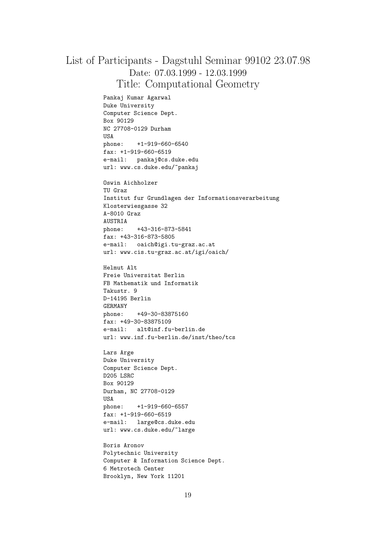# List of Participants - Dagstuhl Seminar 99102 23.07.98 Date: 07.03.1999 - 12.03.1999 Title: Computational Geometry

Pankaj Kumar Agarwal Duke University Computer Science Dept. Box 90129 NC 27708-0129 Durham USA phone: +1-919-660-6540 fax: +1-919-660-6519 e-mail: pankaj@cs.duke.edu url: www.cs.duke.edu/~pankaj

Oswin Aichholzer TU Graz Institut fur Grundlagen der Informationsverarbeitung Klosterwiesgasse 32 A-8010 Graz AUSTRIA phone: +43-316-873-5841 fax: +43-316-873-5805 e-mail: oaich@igi.tu-graz.ac.at url: www.cis.tu-graz.ac.at/igi/oaich/

Helmut Alt Freie Universitat Berlin FB Mathematik und Informatik Takustr. 9 D-14195 Berlin GERMANY phone: +49-30-83875160 fax: +49-30-83875109 e-mail: alt@inf.fu-berlin.de url: www.inf.fu-berlin.de/inst/theo/tcs

Lars Arge Duke University Computer Science Dept. D205 LSRC Box 90129 Durham, NC 27708-0129 USA phone: +1-919-660-6557 fax: +1-919-660-6519 e-mail: large@cs.duke.edu url: www.cs.duke.edu/~large

Boris Aronov Polytechnic University Computer & Information Science Dept. 6 Metrotech Center Brooklyn, New York 11201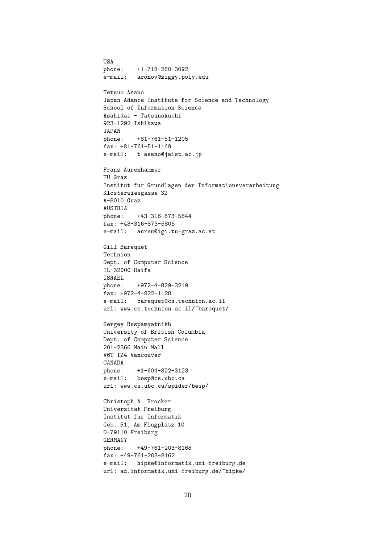USA phone: +1-718-260-3092 e-mail: aronov@ziggy.poly.edu Tetsuo Asano Japan Adance Institute for Science and Technology School of Information Science Asahidai - Tatsunokuchi 923-1292 Ishikawa JAPAN phone: +81-761-51-1205 fax: +81-761-51-1149 e-mail: t-asano@jaist.ac.jp Franz Aurenhammer TU Graz Institut fur Grundlagen der Informationsverarbeitung Klosterwiesgasse 32 A-8010 Graz AUSTRIA phone: +43-316-873-5844 fax: +43-316-873-5805 e-mail: auren@igi.tu-graz.ac.at Gill Barequet Technion Dept. of Computer Science IL-32000 Haifa ISRAEL phone: +972-4-829-3219 fax: +972-4-822-1128 e-mail: barequet@cs.technion.ac.il url: www.cs.technion.ac.il/"barequet/ Sergey Bespamyatnikh University of British Columbia Dept. of Computer Science 201-2366 Main Mall V6T 1Z4 Vancouver CANADA phone: +1-604-822-3123 e-mail: besp@cs.ubc.ca url: www.cs.ubc.ca/spider/besp/ Christoph A. Brocker Universitat Freiburg Institut fur Informatik Geb. 51, Am Flugplatz 10 D-79110 Freiburg GERMANY phone: +49-761-203-8168 fax: +49-761-203-8162 e-mail: hipke@informatik.uni-freiburg.de url: ad.informatik.uni-freiburg.de/~hipke/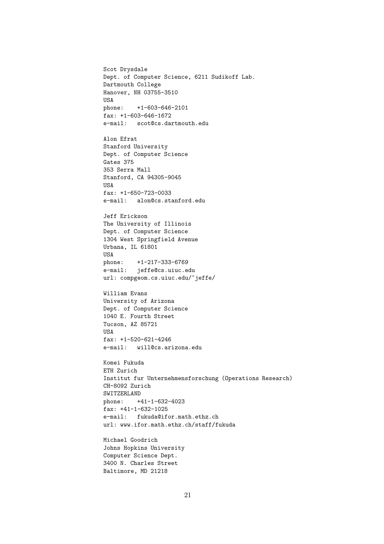Scot Drysdale Dept. of Computer Science, 6211 Sudikoff Lab. Dartmouth College Hanover, NH 03755-3510 USA phone: +1-603-646-2101 fax: +1-603-646-1672 e-mail: scot@cs.dartmouth.edu Alon Efrat Stanford University Dept. of Computer Science Gates 375 353 Serra Mall Stanford, CA 94305-9045 USA fax: +1-650-723-0033 e-mail: alon@cs.stanford.edu Jeff Erickson The University of Illinois Dept. of Computer Science 1304 West Springfield Avenue Urbana, IL 61801 USA phone: +1-217-333-6769 e-mail: jeffe@cs.uiuc.edu url: compgeom.cs.uiuc.edu/~jeffe/ William Evans University of Arizona Dept. of Computer Science 1040 E. Fourth Street Tucson, AZ 85721 USA fax: +1-520-621-4246 e-mail: will@cs.arizona.edu Komei Fukuda ETH Zurich Institut fur Unternehmensforschung (Operations Research) CH-8092 Zurich SWITZERLAND phone: +41-1-632-4023 fax: +41-1-632-1025 e-mail: fukuda@ifor.math.ethz.ch url: www.ifor.math.ethz.ch/staff/fukuda Michael Goodrich

Johns Hopkins University Computer Science Dept. 3400 N. Charles Street Baltimore, MD 21218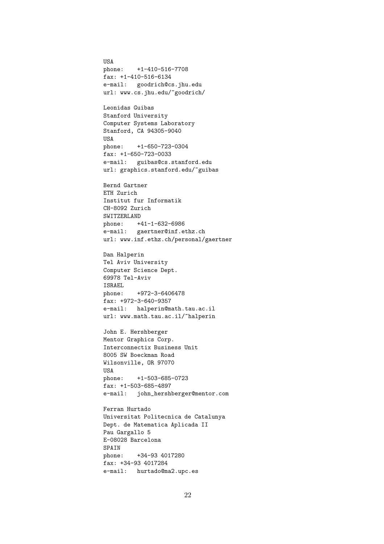USA phone: +1-410-516-7708 fax: +1-410-516-6134 e-mail: goodrich@cs.jhu.edu url: www.cs.jhu.edu/~goodrich/

Leonidas Guibas Stanford University Computer Systems Laboratory Stanford, CA 94305-9040 USA phone: +1-650-723-0304 fax: +1-650-723-0033 e-mail: guibas@cs.stanford.edu url: graphics.stanford.edu/~guibas

Bernd Gartner ETH Zurich Institut fur Informatik CH-8092 Zurich SWITZERLAND phone: +41-1-632-6986 e-mail: gaertner@inf.ethz.ch url: www.inf.ethz.ch/personal/gaertner

Dan Halperin Tel Aviv University Computer Science Dept. 69978 Tel-Aviv ISRAEL phone: +972-3-6406478 fax: +972-3-640-9357 e-mail: halperin@math.tau.ac.il url: www.math.tau.ac.il/"halperin

John E. Hershberger Mentor Graphics Corp. Interconnectix Business Unit 8005 SW Boeckman Road Wilsonville, OR 97070 USA phone: +1-503-685-0723 fax: +1-503-685-4897 e-mail: john\_hershberger@mentor.com

Ferran Hurtado Universitat Politecnica de Catalunya Dept. de Matematica Aplicada II Pau Gargallo 5 E-08028 Barcelona SPAIN phone: +34-93 4017280 fax: +34-93 4017284 e-mail: hurtado@ma2.upc.es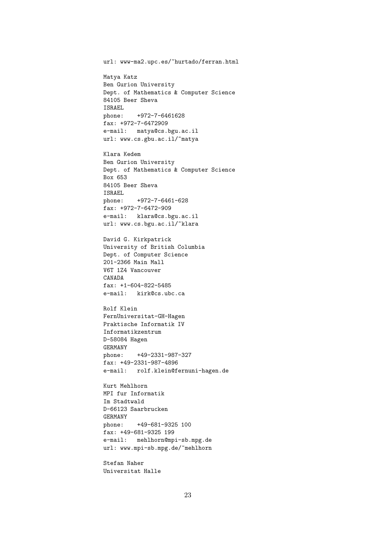url: www-ma2.upc.es/~hurtado/ferran.html Matya Katz Ben Gurion University Dept. of Mathematics & Computer Science 84105 Beer Sheva ISRAEL phone: +972-7-6461628 fax: +972-7-6472909 e-mail: matya@cs.bgu.ac.il url: www.cs.gbu.ac.il/~matya Klara Kedem Ben Gurion University Dept. of Mathematics & Computer Science Box 653 84105 Beer Sheva ISRAEL phone: +972-7-6461-628 fax: +972-7-6472-909 e-mail: klara@cs.bgu.ac.il url: www.cs.bgu.ac.il/~klara David G. Kirkpatrick University of British Columbia Dept. of Computer Science 201-2366 Main Mall V6T 1Z4 Vancouver CANADA fax: +1-604-822-5485 e-mail: kirk@cs.ubc.ca Rolf Klein FernUniversitat-GH-Hagen Praktische Informatik IV Informatikzentrum D-58084 Hagen GERMANY phone: +49-2331-987-327 fax: +49-2331-987-4896 e-mail: rolf.klein@fernuni-hagen.de Kurt Mehlhorn MPI fur Informatik Im Stadtwald D-66123 Saarbrucken GERMANY phone: +49-681-9325 100 fax: +49-681-9325 199 e-mail: mehlhorn@mpi-sb.mpg.de url: www.mpi-sb.mpg.de/~mehlhorn

Stefan Naher Universitat Halle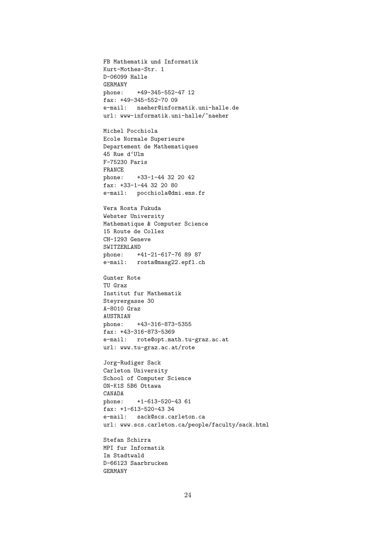FB Mathematik und Informatik Kurt-Mothes-Str. 1 D-06099 Halle GERMANY phone: +49-345-552-47 12 fax: +49-345-552-70 09 e-mail: naeher@informatik.uni-halle.de url: www-informatik.uni-halle/~naeher Michel Pocchiola Ecole Normale Superieure Departement de Mathematiques 45 Rue d'Ulm F-75230 Paris FRANCE phone: +33-1-44 32 20 42 fax: +33-1-44 32 20 80 e-mail: pocchiola@dmi.ens.fr Vera Rosta Fukuda Webster University Mathematique & Computer Science 15 Route de Collex CH-1293 Geneve SWITZERLAND phone: +41-21-617-76 89 87 e-mail: rosta@masg22.epfl.ch Gunter Rote TU Graz Institut fur Mathematik Steyrergasse 30 A-8010 Graz AUSTRIAN phone: +43-316-873-5355 fax: +43-316-873-5369 e-mail: rote@opt.math.tu-graz.ac.at url: www.tu-graz.ac.at/rote Jorg-Rudiger Sack Carleton University School of Computer Science ON-K1S 5B6 Ottawa CANADA phone: +1-613-520-43 61 fax: +1-613-520-43 34 e-mail: sack@scs.carleton.ca url: www.scs.carleton.ca/people/faculty/sack.html Stefan Schirra MPI fur Informatik

Im Stadtwald D-66123 Saarbrucken GERMANY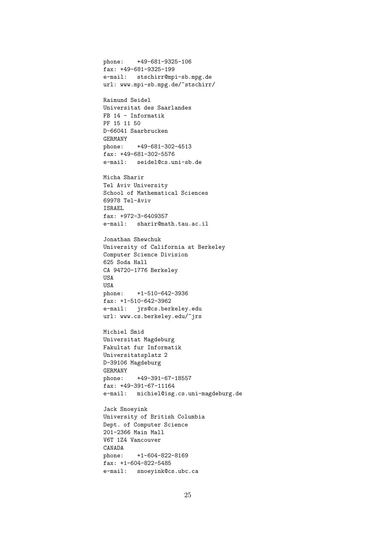phone: +49-681-9325-106 fax: +49-681-9325-199 e-mail: stschirr@mpi-sb.mpg.de url: www.mpi-sb.mpg.de/~stschirr/

Raimund Seidel Universitat des Saarlandes FB 14 - Informatik PF 15 11 50 D-66041 Saarbrucken GERMANY phone: +49-681-302-4513 fax: +49-681-302-5576 e-mail: seidel@cs.uni-sb.de

Micha Sharir Tel Aviv University School of Mathematical Sciences 69978 Tel-Aviv ISRAEL fax: +972-3-6409357 e-mail: sharir@math.tau.ac.il

Jonathan Shewchuk University of California at Berkeley Computer Science Division 625 Soda Hall CA 94720-1776 Berkeley USA USA phone: +1-510-642-3936 fax: +1-510-642-3962 e-mail: jrs@cs.berkeley.edu url: www.cs.berkeley.edu/~jrs

Michiel Smid Universitat Magdeburg Fakultat fur Informatik Universitatsplatz 2 D-39106 Magdeburg GERMANY phone: +49-391-67-18557 fax: +49-391-67-11164 e-mail: michiel@isg.cs.uni-magdeburg.de

Jack Snoeyink University of British Columbia Dept. of Computer Science 201-2366 Main Mall V6T 1Z4 Vancouver CANADA phone: +1-604-822-8169 fax: +1-604-822-5485 e-mail: snoeyink@cs.ubc.ca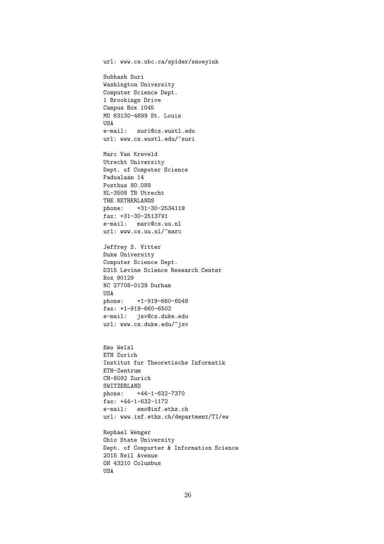url: www.cs.ubc.ca/spider/snoeyink

Subhash Suri Washington University Computer Science Dept. 1 Brookings Drive Campus Box 1045 MO 63130-4899 St. Louis USA e-mail: suri@cs.wustl.edu url: www.cs.wustl.edu/~suri

Marc Van Kreveld Utrecht University Dept. of Computer Science Padualaan 14 Postbus 80.089 NL-3508 TB Utrecht THE NETHERLANDS phone: +31-30-2534119 fax: +31-30-2513791 e-mail: marc@cs.uu.nl url: www.cs.uu.nl/~marc

Jeffrey S. Vitter Duke University Computer Science Dept. D315 Levine Science Research Center Box 90129 NC 27708-0129 Durham USA phone: +1-919-660-6548 fax: +1-919-660-6502 e-mail: jsv@cs.duke.edu url: www.cs.duke.edu/~jsv

Emo Welzl ETH Zurich Institut fur Theoretische Informatik ETH-Zentrum CH-8092 Zurich SWITZERLAND phone: +44-1-632-7370 fax: +44-1-632-1172 e-mail: emo@inf.ethz.ch url: www.inf.ethz.ch/department/TI/ew

Rephael Wenger Ohio State University Dept. of Compurter & Information Science 2015 Neil Avenue OH 43210 Columbus USA